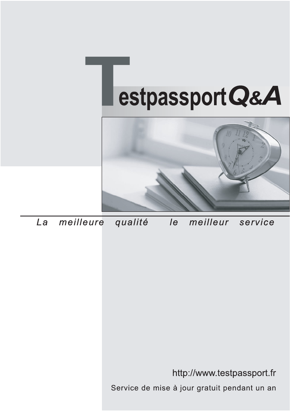



meilleure La qualité  $\overline{e}$ meilleur service

http://www.testpassport.fr

Service de mise à jour gratuit pendant un an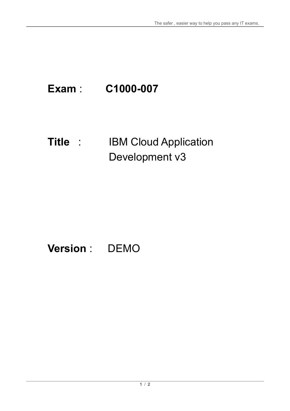# **Exam** : **C1000-007**

### **Title** : IBM Cloud Application Development v3

## **Version** : DEMO